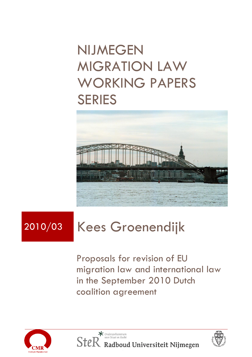## NIJMEGEN MIGRATION LAW WORKING PAPERS SERIES



# 2010/03 Kees Groenendijk

Proposals for revision of EU migration law and international law in the September 2010 Dutch coalition agreement



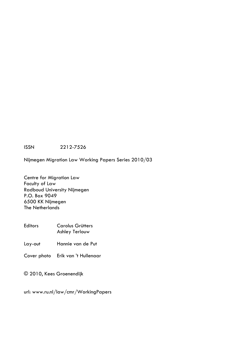ISSN 2212-7526

Nijmegen Migration Law Working Papers Series 2010/03

Centre for Migration Law Faculty of Law Radboud University Nijmegen P.O. Box 9049 6500 KK Nijmegen The Netherlands

Editors Carolus Grütters Ashley Terlouw

Lay-out Hannie van de Put

Cover photo Erik van 't Hullenaar

© 2010, Kees Groenendijk

url: www.ru.nl/law/cmr/WorkingPapers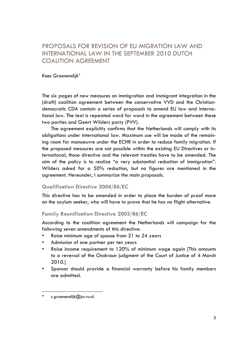## PROPOSALS FOR REVISION OF EU MIGRATION LAW AND INTERNATIONAL LAW IN THE SEPTEMBER 2010 DUTCH COALITION AGREEMENT

#### *Kees Groenendijk \**

The six pages of new measures on immigration and immigrant integration in the (draft) coalition agreement between the conservative VVD and the Christiandemocratic CDA contain a series of proposals to amend EU law and international law. The text is repeated word for word in the agreement between these two parties and Geert Wilders party (PVV).

The agreement explicitly confirms that the Netherlands will comply with its obligations under international law. Maximum use will be made of the remaining room for manoeuvre under the ECHR in order to reduce family migration. If the proposed measures are not possible within the existing EU Directives or international, those directive and the relevant treaties have to be amended. The aim of the policy is to realize "a very substantial reduction of immigration". Wilders asked for a 50% reduction, but no figures are mentioned in the agreement. Hereunder, I summarize the main proposals.

#### **Qualification Directive 2004/86/EC**

This directive has to be amended in order to place the burden of proof more on the asylum seeker, who will have to prove that he has no flight alternative.

#### **Family Reunification Directive 2003/86/EC**

According to the coalition agreement the Netherlands will campaign for the following seven amendments of this directive:

- Raise minimum age of spouse from 21 to 24 years
- Admission of one partner per ten years
- Raise income requirement to 120% of minimum wage again [This amounts to a reversal of the Chakroun judgment of the Court of Justice of 4 March 2010.]
- Sponsor should provide a financial warranty before his family members are admitted.

<sup>\*</sup> c.groenendijk@jur.ru.nl.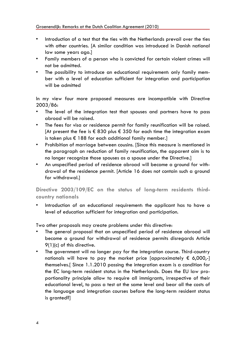- Introduction of a test that the ties with the Netherlands prevail over the ties with other countries. [A similar condition was introduced in Danish national law some years ago.]
- Family members of a person who is convicted for certain violent crimes will not be admitted.
- The possibility to introduce an educational requirement: only family member with a level of education sufficient for integration and participation will be admitted

In my view four more proposed measures are incompatible with Directive 2003/86:

- The level of the integration test that spouses and partners have to pass abroad will be raised.
- The fees for visa or residence permit for family reunification will be raised. [At present the fee is  $\epsilon$  830 plus  $\epsilon$  350 for each time the integration exam is taken plus  $\epsilon$  188 for each additional family member.
- Prohibition of marriage between cousins. [Since this measure is mentioned in the paragraph on reduction of family reunification, the apparent aim is to no longer recognize those spouses as a spouse under the Directive.]
- An unspecified period of residence abroad will become a ground for withdrawal of the residence permit. [Article 16 does not contain such a ground for withdrawal.]

### **Directive 2003/109/EC on the status of long-term residents thirdcountry nationals**

• Introduction of an educational requirement: the applicant has to have a level of education sufficient for integration and participation.

Two other proposals may create problems under this directive:

- The general proposal that an unspecified period of residence abroad will become a ground for withdrawal of residence permits disregards Article 9(1)(c) of this directive.
- The government will no longer pay for the integration course. Third-country nationals will have to pay the market price [approximately  $\epsilon$  6,000,-] themselves.[ Since 1.1.2010 passing the integration exam is a condition for the EC long-term resident status in the Netherlands. Does the EU law proportionality principle allow to require all immigrants, irrespective of their educational level, to pass a test at the same level and bear all the costs of the language and integration courses before the long-term resident status is granted?]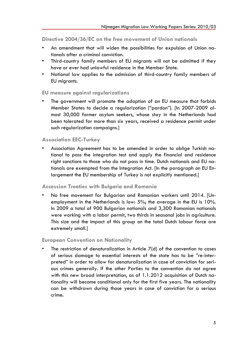**Directive 2004/36/EC on the free movement of Union nationals**

- An amendment that will widen the possibilities for expulsion of Union nationals after a criminal conviction.
- Third-country family members of EU migrants will not be admitted if they have or ever had unlawful residence in the Member State.
- National law applies to the admission of third-country family members of EU migrants.

#### **EU measure against regularizations**

The government will promote the adoption of an EU measure that forbids Member States to decide a regularization ("pardon"). [In 2007-2009 almost 30,000 former asylum seekers, whose stay in the Netherlands had been tolerated for more than six years, received a residence permit under such regularization campaigns.]

#### **Association EEC-Turkey**

• Association Agreement has to be amended in order to oblige Turkish national to pass the integration test and apply the financial and residence right sanctions to those who do not pass in time. Dutch nationals and EU nationals are exempted from the Integration Act. [In the paragraph on EU Enlargement the EU membership of Turkey is not explicitly mentioned.]

#### **Accession Treaties with Bulgaria and Romania**

• No free movement for Bulgarian and Romanian workers until 2014. [Unemployment in the Netherlands is low: 5%; the average in the EU is 10%. In 2009 a total of 900 Bulgarian nationals and 3,300 Romanian nationals were working with a labor permit, two thirds in seasonal jobs in agriculture. This size and the impact of this group on the total Dutch labour force are extremely small.]

#### **European Convention on Nationality**

The restriction of denaturalization in Article 7(d) of the convention to cases of serious damage to essential interests of the state has to be "re-interpreted" in order to allow for denaturalization in case of conviction for serious crimes generally. If the other Parties to the convention do not agree with this new broad interpretation, as of 1.1.2012 acquisition of Dutch nationality will become conditional only for the first five years. The nationality can be withdrawn during those years in case of conviction for a serious crime.